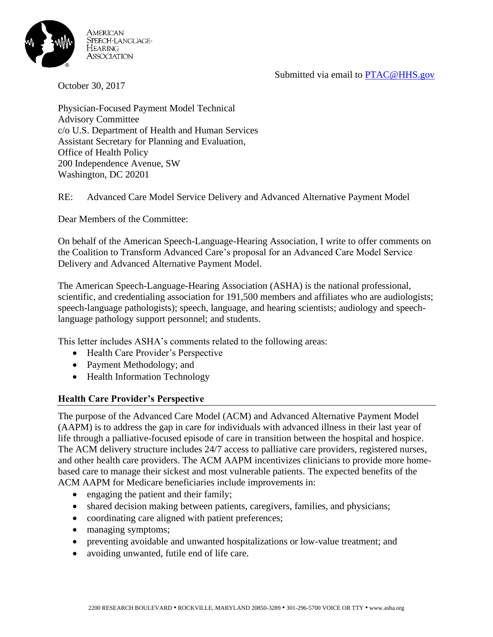Submitted via email to [PTAC@HHS.gov](mailto:PTAC@HHS.gov)



October 30, 2017

Physician-Focused Payment Model Technical Advisory Committee c/o U.S. Department of Health and Human Services Assistant Secretary for Planning and Evaluation, Office of Health Policy 200 Independence Avenue, SW Washington, DC 20201

RE: Advanced Care Model Service Delivery and Advanced Alternative Payment Model

Dear Members of the Committee:

On behalf of the American Speech-Language-Hearing Association, I write to offer comments on the Coalition to Transform Advanced Care's proposal for an Advanced Care Model Service Delivery and Advanced Alternative Payment Model.

The American Speech-Language-Hearing Association (ASHA) is the national professional, scientific, and credentialing association for 191,500 members and affiliates who are audiologists; speech-language pathologists); speech, language, and hearing scientists; audiology and speechlanguage pathology support personnel; and students.

This letter includes ASHA's comments related to the following areas:

- Health Care Provider's Perspective
- Payment Methodology; and
- Health Information Technology

## **Health Care Provider's Perspective**

The purpose of the Advanced Care Model (ACM) and Advanced Alternative Payment Model (AAPM) is to address the gap in care for individuals with advanced illness in their last year of life through a palliative-focused episode of care in transition between the hospital and hospice. The ACM delivery structure includes 24/7 access to palliative care providers, registered nurses, and other health care providers. The ACM AAPM incentivizes clinicians to provide more homebased care to manage their sickest and most vulnerable patients. The expected benefits of the ACM AAPM for Medicare beneficiaries include improvements in:

- engaging the patient and their family;
- shared decision making between patients, caregivers, families, and physicians;
- coordinating care aligned with patient preferences;
- managing symptoms;
- preventing avoidable and unwanted hospitalizations or low-value treatment; and
- avoiding unwanted, futile end of life care.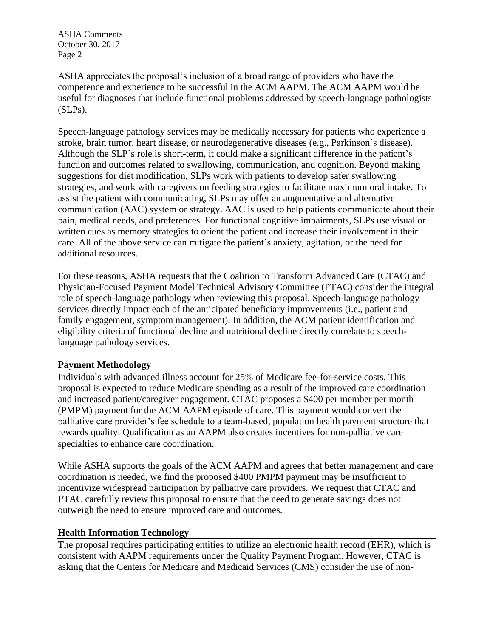ASHA Comments October 30, 2017 Page 2

ASHA appreciates the proposal's inclusion of a broad range of providers who have the competence and experience to be successful in the ACM AAPM. The ACM AAPM would be useful for diagnoses that include functional problems addressed by speech-language pathologists (SLPs).

Speech-language pathology services may be medically necessary for patients who experience a stroke, brain tumor, heart disease, or neurodegenerative diseases (e.g., Parkinson's disease). Although the SLP's role is short-term, it could make a significant difference in the patient's function and outcomes related to swallowing, communication, and cognition. Beyond making suggestions for diet modification, SLPs work with patients to develop safer swallowing strategies, and work with caregivers on feeding strategies to facilitate maximum oral intake. To assist the patient with communicating, SLPs may offer an augmentative and alternative communication (AAC) system or strategy. AAC is used to help patients communicate about their pain, medical needs, and preferences. For functional cognitive impairments, SLPs use visual or written cues as memory strategies to orient the patient and increase their involvement in their care. All of the above service can mitigate the patient's anxiety, agitation, or the need for additional resources.

For these reasons, ASHA requests that the Coalition to Transform Advanced Care (CTAC) and Physician-Focused Payment Model Technical Advisory Committee (PTAC) consider the integral role of speech-language pathology when reviewing this proposal. Speech-language pathology services directly impact each of the anticipated beneficiary improvements (i.e., patient and family engagement, symptom management). In addition, the ACM patient identification and eligibility criteria of functional decline and nutritional decline directly correlate to speechlanguage pathology services.

## **Payment Methodology**

Individuals with advanced illness account for 25% of Medicare fee-for-service costs. This proposal is expected to reduce Medicare spending as a result of the improved care coordination and increased patient/caregiver engagement. CTAC proposes a \$400 per member per month (PMPM) payment for the ACM AAPM episode of care. This payment would convert the palliative care provider's fee schedule to a team-based, population health payment structure that rewards quality. Qualification as an AAPM also creates incentives for non-palliative care specialties to enhance care coordination.

While ASHA supports the goals of the ACM AAPM and agrees that better management and care coordination is needed, we find the proposed \$400 PMPM payment may be insufficient to incentivize widespread participation by palliative care providers. We request that CTAC and PTAC carefully review this proposal to ensure that the need to generate savings does not outweigh the need to ensure improved care and outcomes.

## **Health Information Technology**

The proposal requires participating entities to utilize an electronic health record (EHR), which is consistent with AAPM requirements under the Quality Payment Program. However, CTAC is asking that the Centers for Medicare and Medicaid Services (CMS) consider the use of non